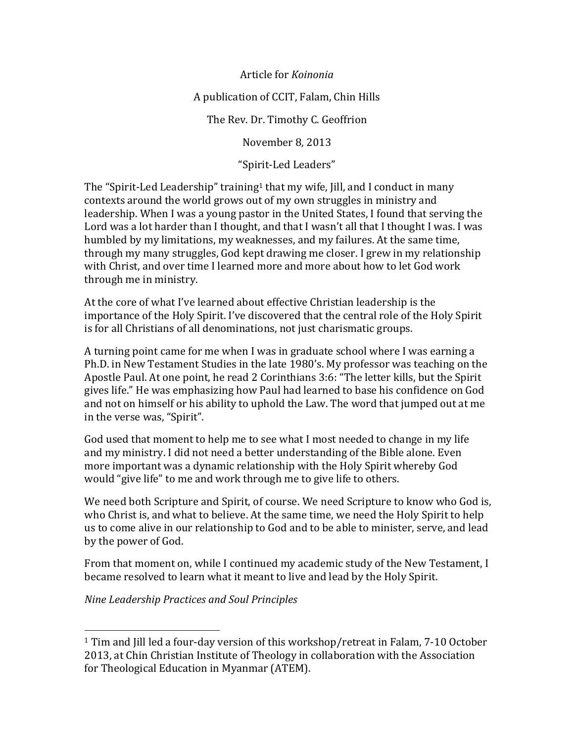Article for *Koinonia* 

#### A publication of CCIT, Falam, Chin Hills

The Rev. Dr. Timothy C. Geoffrion

November 8, 2013

"Spirit-Led Leaders"

The "Spirit-Led Leadership" training<sup>1</sup> that my wife, Jill, and I conduct in many contexts around the world grows out of my own struggles in ministry and leadership. When I was a young pastor in the United States, I found that serving the Lord was a lot harder than I thought, and that I wasn't all that I thought I was. I was humbled by my limitations, my weaknesses, and my failures. At the same time, through my many struggles, God kept drawing me closer. I grew in my relationship with Christ, and over time I learned more and more about how to let God work through me in ministry.

At the core of what I've learned about effective Christian leadership is the importance of the Holy Spirit. I've discovered that the central role of the Holy Spirit is for all Christians of all denominations, not just charismatic groups.

A turning point came for me when I was in graduate school where I was earning a Ph.D. in New Testament Studies in the late 1980's. My professor was teaching on the Apostle Paul. At one point, he read 2 Corinthians 3:6: "The letter kills, but the Spirit gives life." He was emphasizing how Paul had learned to base his confidence on God and not on himself or his ability to uphold the Law. The word that jumped out at me in the verse was, "Spirit".

God used that moment to help me to see what I most needed to change in my life and my ministry. I did not need a better understanding of the Bible alone. Even more important was a dynamic relationship with the Holy Spirit whereby God would "give life" to me and work through me to give life to others.

We need both Scripture and Spirit, of course. We need Scripture to know who God is, who Christ is, and what to believe. At the same time, we need the Holy Spirit to help us to come alive in our relationship to God and to be able to minister, serve, and lead by the power of God.

From that moment on, while I continued my academic study of the New Testament, I became resolved to learn what it meant to live and lead by the Holy Spirit.

*Nine Leadership Practices and Soul Principles* 

(((((((((((((((((((((((((((((((((((((((((((((((((((((((

<sup>&</sup>lt;sup>1</sup> Tim and Jill led a four-day version of this workshop/retreat in Falam, 7-10 October 2013, at Chin Christian Institute of Theology in collaboration with the Association for Theological Education in Myanmar (ATEM).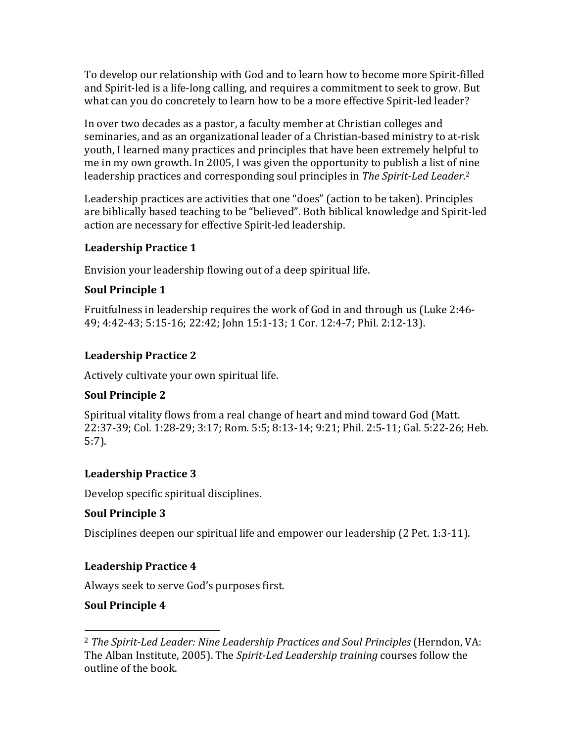To develop our relationship with God and to learn how to become more Spirit-filled and Spirit-led is a life-long calling, and requires a commitment to seek to grow. But what can you do concretely to learn how to be a more effective Spirit-led leader?

In over two decades as a pastor, a faculty member at Christian colleges and seminaries, and as an organizational leader of a Christian-based ministry to at-risk youth, I learned many practices and principles that have been extremely helpful to me in my own growth. In 2005, I was given the opportunity to publish a list of nine leadership practices and corresponding soul principles in The Spirit-Led Leader.<sup>2</sup>

Leadership practices are activities that one "does" (action to be taken). Principles are biblically based teaching to be "believed". Both biblical knowledge and Spirit-led action are necessary for effective Spirit-led leadership.

#### **Leadership Practice 1**

Envision your leadership flowing out of a deep spiritual life.

## **Soul Principle 1**

Fruitfulness in leadership requires the work of God in and through us (Luke 2:46-49; 4:42-43; 5:15-16; 22:42; John 15:1-13; 1 Cor. 12:4-7; Phil. 2:12-13).

# **Leadership Practice 2**

Actively cultivate your own spiritual life.

# **Soul Principle 2**

Spiritual vitality flows from a real change of heart and mind toward God (Matt.) 22:37-39; Col. 1:28-29; 3:17; Rom. 5:5; 8:13-14; 9:21; Phil. 2:5-11; Gal. 5:22-26; Heb. 5:7).

# **Leadership Practice 3**

Develop specific spiritual disciplines.

# **Soul Principle 3**

Disciplines deepen our spiritual life and empower our leadership (2 Pet. 1:3-11).

# **Leadership Practice 4**

Always seek to serve God's purposes first.

# **Soul Principle 4**

<sup>(((((((((((((((((((((((((((((((((((((((((((((((((((((((</sup> <sup>2</sup> The Spirit-Led Leader: Nine Leadership Practices and Soul Principles (Herndon, VA: The Alban Institute, 2005). The *Spirit-Led Leadership training* courses follow the outline of the book.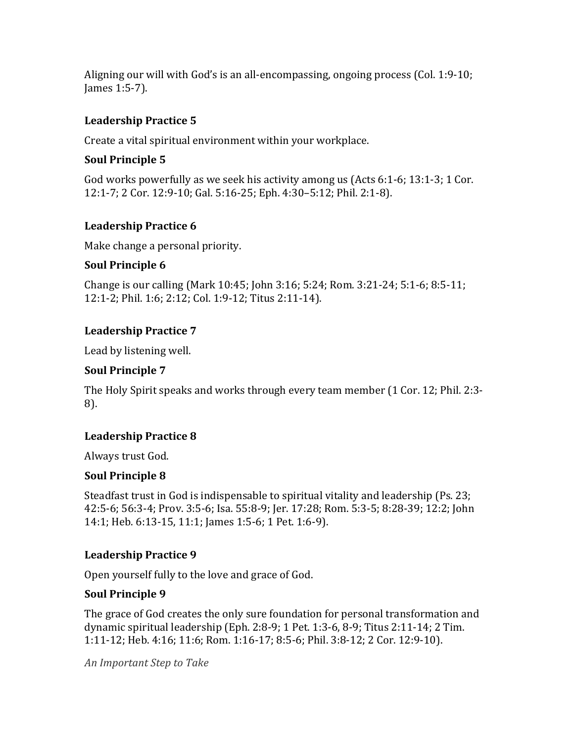Aligning our will with God's is an all-encompassing, ongoing process (Col. 1:9-10; James 1:5-7).

## **Leadership Practice 5**

Create a vital spiritual environment within your workplace.

## **Soul Principle 5**

God works powerfully as we seek his activity among us (Acts 6:1-6; 13:1-3; 1 Cor.) 12:1-7; 2 Cor. 12:9-10; Gal. 5:16-25; Eph. 4:30-5:12; Phil. 2:1-8).

## **Leadership Practice 6**

Make change a personal priority.

#### **Soul Principle 6**

Change is our calling (Mark 10:45; John 3:16; 5:24; Rom. 3:21-24; 5:1-6; 8:5-11; 12:1-2; Phil. 1:6; 2:12; Col. 1:9-12; Titus 2:11-14).

## **Leadership Practice 7**

Lead by listening well.

## **Soul Principle 7**

The Holy Spirit speaks and works through every team member (1 Cor. 12; Phil. 2:3-8).

# **Leadership Practice 8**

Always trust God.

#### **Soul Principle 8**

Steadfast trust in God is indispensable to spiritual vitality and leadership (Ps. 23; 42:5-6; 56:3-4; Prov. 3:5-6; Isa. 55:8-9; Jer. 17:28; Rom. 5:3-5; 8:28-39; 12:2; John 14:1; Heb. 6:13-15, 11:1; James 1:5-6; 1 Pet. 1:6-9).

#### **Leadership Practice 9**

Open yourself fully to the love and grace of God.

#### **Soul Principle 9**

The grace of God creates the only sure foundation for personal transformation and dynamic spiritual leadership (Eph. 2:8-9; 1 Pet. 1:3-6, 8-9; Titus 2:11-14; 2 Tim. 1:11-12; Heb. 4:16; 11:6; Rom. 1:16-17; 8:5-6; Phil. 3:8-12; 2 Cor. 12:9-10).

*An&Important&Step&to&Take*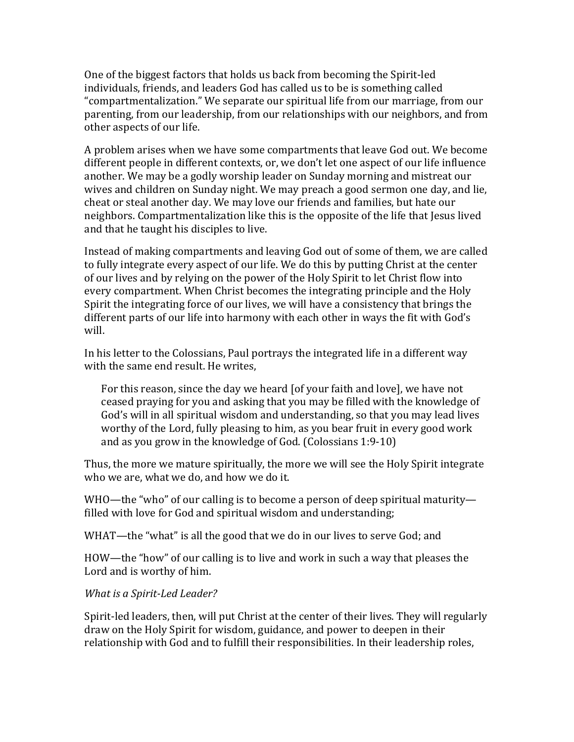One of the biggest factors that holds us back from becoming the Spirit-led individuals, friends, and leaders God has called us to be is something called "compartmentalization." We separate our spiritual life from our marriage, from our parenting, from our leadership, from our relationships with our neighbors, and from other aspects of our life.

A problem arises when we have some compartments that leave God out. We become different people in different contexts, or, we don't let one aspect of our life influence another. We may be a godly worship leader on Sunday morning and mistreat our wives and children on Sunday night. We may preach a good sermon one day, and lie, cheat or steal another day. We may love our friends and families, but hate our neighbors. Compartmentalization like this is the opposite of the life that Jesus lived and that he taught his disciples to live.

Instead of making compartments and leaving God out of some of them, we are called to fully integrate every aspect of our life. We do this by putting Christ at the center of our lives and by relying on the power of the Holy Spirit to let Christ flow into every compartment. When Christ becomes the integrating principle and the Holy Spirit the integrating force of our lives, we will have a consistency that brings the different parts of our life into harmony with each other in ways the fit with God's will.

In his letter to the Colossians, Paul portrays the integrated life in a different way with the same end result. He writes,

For this reason, since the day we heard [of your faith and love], we have not ceased praying for you and asking that you may be filled with the knowledge of God's will in all spiritual wisdom and understanding, so that you may lead lives worthy of the Lord, fully pleasing to him, as you bear fruit in every good work and as you grow in the knowledge of God. (Colossians  $1:9-10$ )

Thus, the more we mature spiritually, the more we will see the Holy Spirit integrate who we are, what we do, and how we do it.

WHO—the "who" of our calling is to become a person of deep spiritual maturity filled with love for God and spiritual wisdom and understanding;

WHAT—the "what" is all the good that we do in our lives to serve God; and

HOW—the "how" of our calling is to live and work in such a way that pleases the Lord and is worthy of him.

*What is a Spirit-Led Leader?* 

Spirit-led leaders, then, will put Christ at the center of their lives. They will regularly draw on the Holy Spirit for wisdom, guidance, and power to deepen in their relationship with God and to fulfill their responsibilities. In their leadership roles,